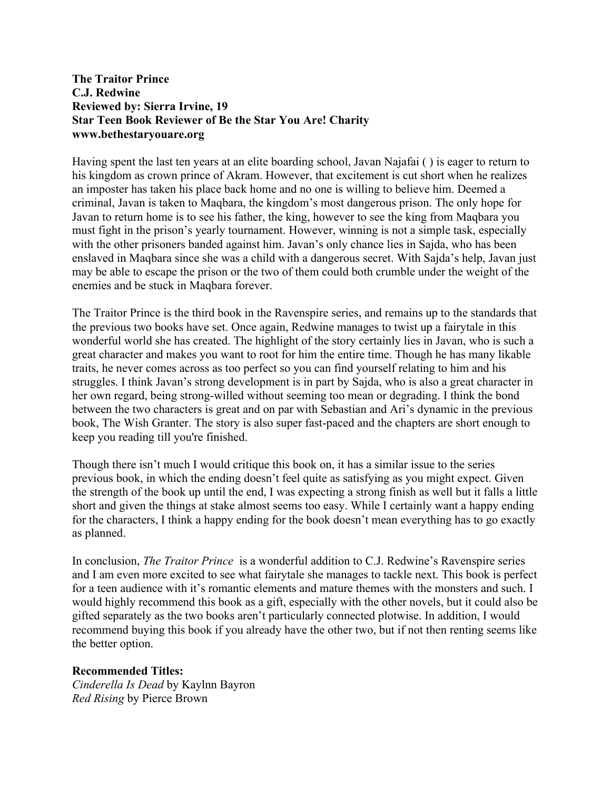## **The Traitor Prince C.J. Redwine Reviewed by: Sierra Irvine, 19 Star Teen Book Reviewer of Be the Star You Are! Charity www.bethestaryouare.org**

Having spent the last ten years at an elite boarding school, Javan Najafai ( ) is eager to return to his kingdom as crown prince of Akram. However, that excitement is cut short when he realizes an imposter has taken his place back home and no one is willing to believe him. Deemed a criminal, Javan is taken to Maqbara, the kingdom's most dangerous prison. The only hope for Javan to return home is to see his father, the king, however to see the king from Maqbara you must fight in the prison's yearly tournament. However, winning is not a simple task, especially with the other prisoners banded against him. Javan's only chance lies in Sajda, who has been enslaved in Maqbara since she was a child with a dangerous secret. With Sajda's help, Javan just may be able to escape the prison or the two of them could both crumble under the weight of the enemies and be stuck in Maqbara forever.

The Traitor Prince is the third book in the Ravenspire series, and remains up to the standards that the previous two books have set. Once again, Redwine manages to twist up a fairytale in this wonderful world she has created. The highlight of the story certainly lies in Javan, who is such a great character and makes you want to root for him the entire time. Though he has many likable traits, he never comes across as too perfect so you can find yourself relating to him and his struggles. I think Javan's strong development is in part by Sajda, who is also a great character in her own regard, being strong-willed without seeming too mean or degrading. I think the bond between the two characters is great and on par with Sebastian and Ari's dynamic in the previous book, The Wish Granter. The story is also super fast-paced and the chapters are short enough to keep you reading till you're finished.

Though there isn't much I would critique this book on, it has a similar issue to the series previous book, in which the ending doesn't feel quite as satisfying as you might expect. Given the strength of the book up until the end, I was expecting a strong finish as well but it falls a little short and given the things at stake almost seems too easy. While I certainly want a happy ending for the characters, I think a happy ending for the book doesn't mean everything has to go exactly as planned.

In conclusion, *The Traitor Prince* is a wonderful addition to C.J. Redwine's Ravenspire series and I am even more excited to see what fairytale she manages to tackle next. This book is perfect for a teen audience with it's romantic elements and mature themes with the monsters and such. I would highly recommend this book as a gift, especially with the other novels, but it could also be gifted separately as the two books aren't particularly connected plotwise. In addition, I would recommend buying this book if you already have the other two, but if not then renting seems like the better option.

## **Recommended Titles:**

*Cinderella Is Dead* by Kaylnn Bayron *Red Rising* by Pierce Brown